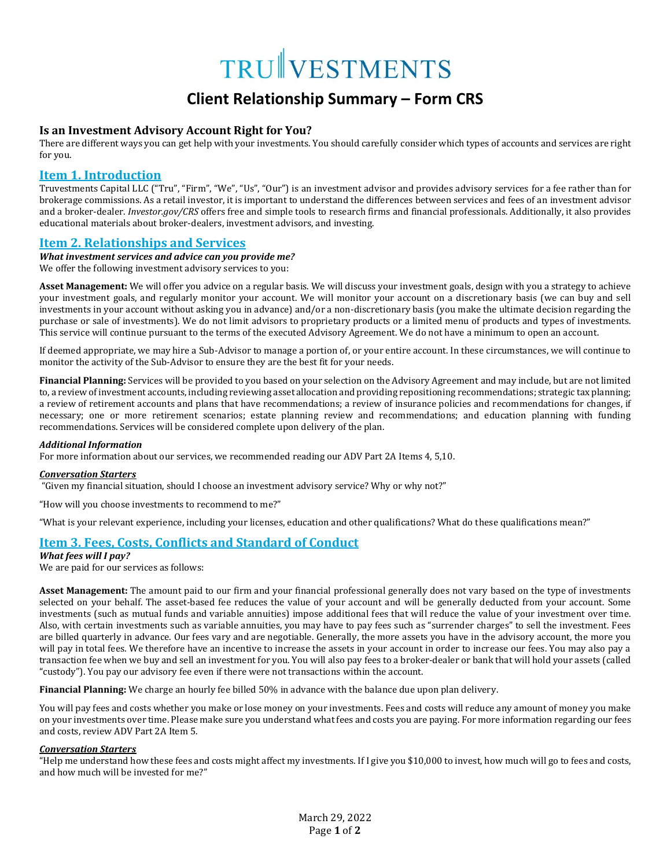# TRUNVESTMENTS

# **Client Relationship Summary – Form CRS**

### **Is an Investment Advisory Account Right for You?**

There are different ways you can get help with your investments. You should carefully consider which types of accounts and services are right for you.

# **Item 1. Introduction**

Truvestments Capital LLC ("Tru", "Firm", "We", "Us", "Our") is an investment advisor and provides advisory services for a fee rather than for brokerage commissions. As a retail investor, it is important to understand the differences between services and fees of an investment advisor and a broker-dealer. *Investor.gov/CRS* offers free and simple tools to research firms and financial professionals. Additionally, it also provides educational materials about broker-dealers, investment advisors, and investing.

# **Item 2. Relationships and Services**

### *What investment services and advice can you provide me?*

We offer the following investment advisory services to you:

**Asset Management:** We will offer you advice on a regular basis. We will discuss your investment goals, design with you a strategy to achieve your investment goals, and regularly monitor your account. We will monitor your account on a discretionary basis (we can buy and sell investments in your account without asking you in advance) and/or a non-discretionary basis (you make the ultimate decision regarding the purchase or sale of investments). We do not limit advisors to proprietary products or a limited menu of products and types of investments. This service will continue pursuant to the terms of the executed Advisory Agreement. We do not have a minimum to open an account.

If deemed appropriate, we may hire a Sub-Advisor to manage a portion of, or your entire account. In these circumstances, we will continue to monitor the activity of the Sub-Advisor to ensure they are the best fit for your needs.

**Financial Planning:** Services will be provided to you based on your selection on the Advisory Agreement and may include, but are not limited to, a review of investment accounts, including reviewing asset allocation and providing repositioning recommendations; strategic tax planning; a review of retirement accounts and plans that have recommendations; a review of insurance policies and recommendations for changes, if necessary; one or more retirement scenarios; estate planning review and recommendations; and education planning with funding recommendations. Services will be considered complete upon delivery of the plan.

### *Additional Information*

For more information about our services, we recommended reading our ADV Part 2A Items 4, 5,10.

### *Conversation Starters*

"Given my financial situation, should I choose an investment advisory service? Why or why not?"

"How will you choose investments to recommend to me?"

"What is your relevant experience, including your licenses, education and other qualifications? What do these qualifications mean?"

# **Item 3. Fees, Costs, Conflicts and Standard of Conduct**

*What fees will I pay?*

We are paid for our services as follows:

**Asset Management:** The amount paid to our firm and your financial professional generally does not vary based on the type of investments selected on your behalf. The asset-based fee reduces the value of your account and will be generally deducted from your account. Some investments (such as mutual funds and variable annuities) impose additional fees that will reduce the value of your investment over time. Also, with certain investments such as variable annuities, you may have to pay fees such as "surrender charges" to sell the investment. Fees are billed quarterly in advance. Our fees vary and are negotiable. Generally, the more assets you have in the advisory account, the more you will pay in total fees. We therefore have an incentive to increase the assets in your account in order to increase our fees. You may also pay a transaction fee when we buy and sell an investment for you. You will also pay fees to a broker‐dealer or bank that will hold your assets (called "custody"). You pay our advisory fee even if there were not transactions within the account.

**Financial Planning:** We charge an hourly fee billed 50% in advance with the balance due upon plan delivery.

You will pay fees and costs whether you make or lose money on your investments. Fees and costs will reduce any amount of money you make on your investments over time. Please make sure you understand what fees and costs you are paying. For more information regarding our fees and costs, review ADV Part 2A Item 5.

### *Conversation Starters*

"Help me understand how these fees and costs might affect my investments. If I give you \$10,000 to invest, how much will go to fees and costs, and how much will be invested for me?"